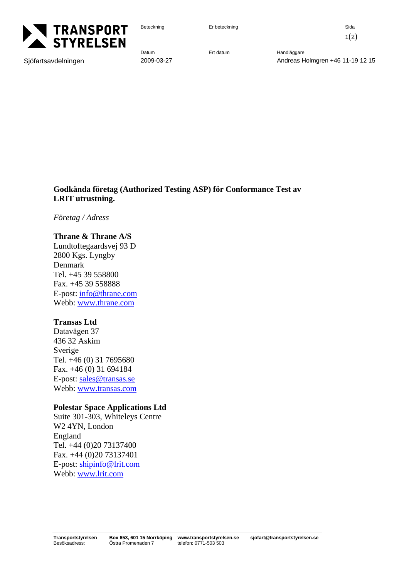

Beteckning Er beteckning Er beteckning Sida

 $1(2)$ 

Sjöfartsavdelningen 2009-03-27 Andreas Holmgren +46 11-19 12 15

**Godkända företag (Authorized Testing ASP) för Conformance Test av LRIT utrustning.** 

*Företag / Adress* 

## **Thrane & Thrane A/S**

Lundtoftegaardsvej 93 D 2800 Kgs. Lyngby Denmark Tel. +45 39 558800 Fax. +45 39 558888 E-post: info@thrane.com Webb: www.thrane.com

## **Transas Ltd**

Datavägen 37 436 32 Askim Sverige Tel. +46 (0) 31 7695680 Fax. +46 (0) 31 694184 E-post: sales@transas.se Webb: www.transas.com

## **Polestar Space Applications Ltd**

Suite 301-303, Whiteleys Centre W2 4YN, London England Tel. +44 (0)20 73137400 Fax. +44 (0)20 73137401 E-post: shipinfo@lrit.com Webb: www.lrit.com